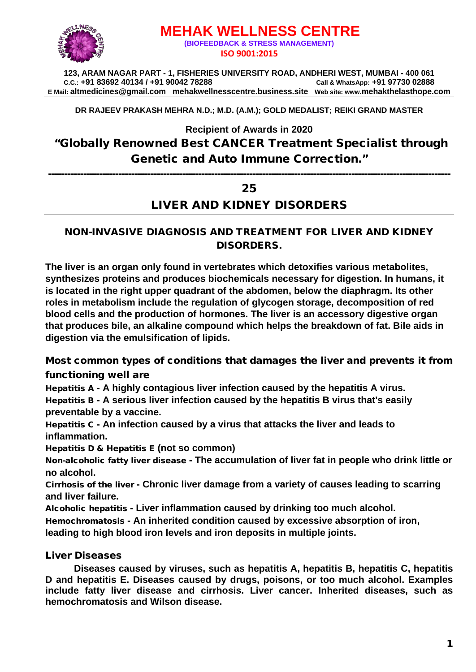

# **MEHAK WELLNESS CENTRE (BIOFEEDBACK & STRESS MANAGEMENT) ISO 9001:2015**

**123, ARAM NAGAR PART - 1, FISHERIES UNIVERSITY ROAD, ANDHERI WEST, MUMBAI - 400 061 C.C.: +91 83692 40134 / +91 90042 78288 Call & WhatsApp: +91 97730 02888 E Mail: [altmedicines@gmail.com](mailto:altmedicines@gmail.com) mehakwellnesscentre.business.site Web site: www.mehakthelasthope.com**

**DR RAJEEV PRAKASH MEHRA N.D.; M.D. (A.M.); GOLD MEDALIST; REIKI GRAND MASTER** 

**Recipient of Awards in 2020**

"Globally Renowned Best CANCER Treatment Specialist through Genetic and Auto Immune Correction."

------------------------------------------------------------------------------------------------------------------------------

## 25

# LIVER AND KIDNEY DISORDERS

### NON-INVASIVE DIAGNOSIS AND TREATMENT FOR LIVER AND KIDNEY DISORDERS.

**The liver is an organ only found in vertebrates which detoxifies various metabolites, synthesizes proteins and produces biochemicals necessary for digestion. In humans, it is located in the right upper quadrant of the abdomen, below the diaphragm. Its other roles in metabolism include the regulation of glycogen storage, decomposition of red blood cells and the production of hormones. The liver is an accessory digestive organ that produces bile, an alkaline compound which helps the breakdown of fat. Bile aids in digestion via the emulsification of lipids.**

Most common types of conditions that damages the liver and prevents it from functioning well are

Hepatitis A **- A highly contagious liver infection caused by the hepatitis A virus.** Hepatitis B **- A serious liver infection caused by the hepatitis B virus that's easily preventable by a vaccine.**

Hepatitis C **- An infection caused by a virus that attacks the liver and leads to inflammation.**

Hepatitis D & Hepatitis E **(not so common)**

Non-alcoholic fatty liver disease **- The accumulation of liver fat in people who drink little or no alcohol.**

Cirrhosis of the liver **- Chronic liver damage from a variety of causes leading to scarring and liver failure.**

Alcoholic hepatitis **- Liver inflammation caused by drinking too much alcohol.**

Hemochromatosis **- An inherited condition caused by excessive absorption of iron,** 

**leading to high blood iron levels and iron deposits in multiple joints.**

### Liver Diseases

**Diseases caused by viruses, such as hepatitis A, hepatitis B, hepatitis C, hepatitis D and hepatitis E. Diseases caused by drugs, poisons, or too much alcohol. Examples include fatty liver disease and cirrhosis. Liver cancer. Inherited diseases, such as hemochromatosis and Wilson disease.**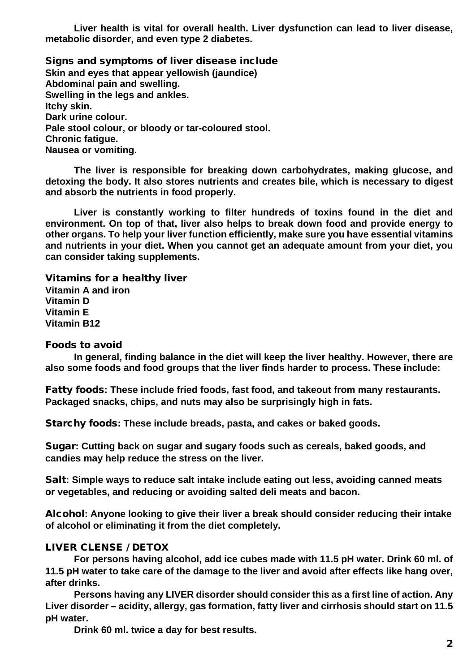**Liver health is vital for overall health. Liver dysfunction can lead to liver disease, metabolic disorder, and even type 2 diabetes.**

Signs and symptoms of liver disease include **Skin and eyes that appear yellowish (jaundice) Abdominal pain and swelling. Swelling in the legs and ankles. Itchy skin. Dark urine colour. Pale stool colour, or bloody or tar-coloured stool. Chronic fatigue. Nausea or vomiting.**

**The liver is responsible for breaking down carbohydrates, making glucose, and detoxing the body. It also stores nutrients and creates bile, which is necessary to digest and absorb the nutrients in food properly.**

**Liver is constantly working to filter hundreds of toxins found in the diet and environment. On top of that, liver also helps to break down food and provide energy to other organs. To help your liver function efficiently, make sure you have essential vitamins and nutrients in your diet. When you cannot get an adequate amount from your diet, you can consider taking supplements.**

Vitamins for a healthy liver **Vitamin A and iron Vitamin D Vitamin E Vitamin B12**

#### Foods to avoid

**In general, finding balance in the diet will keep the liver healthy. However, there are also some foods and food groups that the liver finds harder to process. These include:**

Fatty foods**: These include fried foods, fast food, and takeout from many restaurants. Packaged snacks, chips, and nuts may also be surprisingly high in fats.**

Starchy foods**: These include breads, pasta, and cakes or baked goods.**

Sugar**: Cutting back on sugar and sugary foods such as cereals, baked goods, and candies may help reduce the stress on the liver.**

Salt**: Simple ways to reduce salt intake include eating out less, avoiding canned meats or vegetables, and reducing or avoiding salted deli meats and bacon.**

Alcohol**: Anyone looking to give their liver a break should consider reducing their intake of alcohol or eliminating it from the diet completely.**

### LIVER CLENSE / DETOX

**For persons having alcohol, add ice cubes made with 11.5 pH water. Drink 60 ml. of 11.5 pH water to take care of the damage to the liver and avoid after effects like hang over, after drinks.**

**Persons having any LIVER disorder should consider this as a first line of action. Any Liver disorder – acidity, allergy, gas formation, fatty liver and cirrhosis should start on 11.5 pH water.** 

**Drink 60 ml. twice a day for best results.**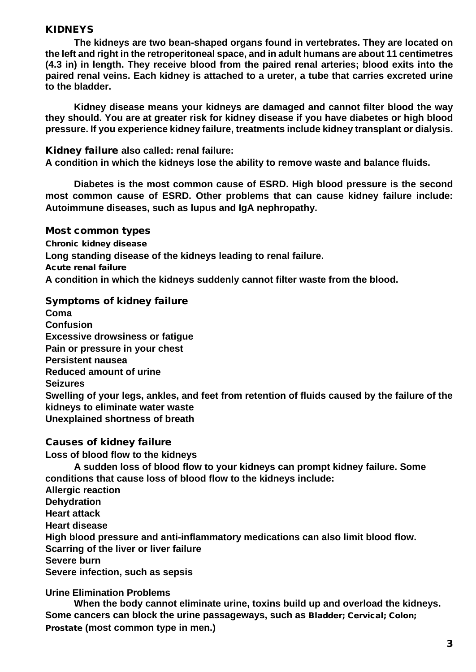### KIDNEYS

**The kidneys are two bean-shaped organs found in vertebrates. They are located on the left and right in the retroperitoneal space, and in adult humans are about 11 centimetres (4.3 in) in length. They receive blood from the paired renal arteries; blood exits into the paired renal veins. Each kidney is attached to a ureter, a tube that carries excreted urine to the bladder.**

**Kidney disease means your kidneys are damaged and cannot filter blood the way they should. You are at greater risk for kidney disease if you have diabetes or high blood pressure. If you experience kidney failure, treatments include kidney transplant or dialysis.**

Kidney failure **also called: renal failure:**

**A condition in which the kidneys lose the ability to remove waste and balance fluids.**

**Diabetes is the most common cause of ESRD. High blood pressure is the second most common cause of ESRD. Other problems that can cause kidney failure include: Autoimmune diseases, such as lupus and IgA nephropathy.**

Most common types

Chronic kidney disease **Long standing disease of the kidneys leading to renal failure.** Acute renal failure **A condition in which the kidneys suddenly cannot filter waste from the blood.**

### Symptoms of kidney failure

**Coma Confusion Excessive drowsiness or fatigue Pain or pressure in your chest Persistent nausea Reduced amount of urine Seizures Swelling of your legs, ankles, and feet from retention of fluids caused by the failure of the kidneys to eliminate water waste Unexplained shortness of breath**

Causes of kidney failure **Loss of blood flow to the kidneys A sudden loss of blood flow to your kidneys can prompt kidney failure. Some conditions that cause loss of blood flow to the kidneys include: Allergic reaction Dehydration Heart attack Heart disease High blood pressure and anti-inflammatory medications can also limit blood flow. Scarring of the liver or liver failure Severe burn Severe infection, such as sepsis**

**Urine Elimination Problems**

**When the body cannot eliminate urine, toxins build up and overload the kidneys. Some cancers can block the urine passageways, such as** Bladder; Cervical; Colon; Prostate **(most common type in men.)**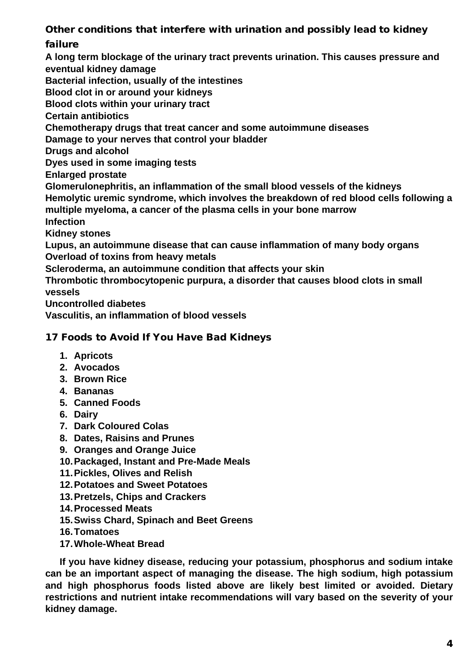Other conditions that interfere with urination and possibly lead to kidney

failure

**A long term blockage of the urinary tract prevents urination. This causes pressure and eventual kidney damage**

**Bacterial infection, usually of the intestines**

**Blood clot in or around your kidneys**

**Blood clots within your urinary tract**

**Certain antibiotics**

**Chemotherapy drugs that treat cancer and some autoimmune diseases**

**Damage to your nerves that control your bladder**

**Drugs and alcohol**

**Dyes used in some imaging tests**

**Enlarged prostate**

**Glomerulonephritis, an inflammation of the small blood vessels of the kidneys**

**Hemolytic uremic syndrome, which involves the breakdown of red blood cells following a multiple myeloma, a cancer of the plasma cells in your bone marrow**

**Infection**

**Kidney stones**

**Lupus, an autoimmune disease that can cause inflammation of many body organs Overload of toxins from heavy metals**

**Scleroderma, an autoimmune condition that affects your skin**

**Thrombotic thrombocytopenic purpura, a disorder that causes blood clots in small vessels**

**Uncontrolled diabetes**

**Vasculitis, an inflammation of blood vessels**

# 17 Foods to Avoid If You Have Bad Kidneys

- **1. Apricots**
- **2. Avocados**
- **3. Brown Rice**
- **4. Bananas**
- **5. Canned Foods**
- **6. Dairy**
- **7. Dark Coloured Colas**
- **8. Dates, Raisins and Prunes**
- **9. Oranges and Orange Juice**
- **10.Packaged, Instant and Pre-Made Meals**
- **11.Pickles, Olives and Relish**
- **12.Potatoes and Sweet Potatoes**
- **13.Pretzels, Chips and Crackers**
- **14.Processed Meats**
- **15.Swiss Chard, Spinach and Beet Greens**
- **16.Tomatoes**
- **17.Whole-Wheat Bread**

**If you have kidney disease, reducing your potassium, phosphorus and sodium intake can be an important aspect of managing the disease. The high sodium, high potassium and high phosphorus foods listed above are likely best limited or avoided. Dietary restrictions and nutrient intake recommendations will vary based on the severity of your kidney damage.**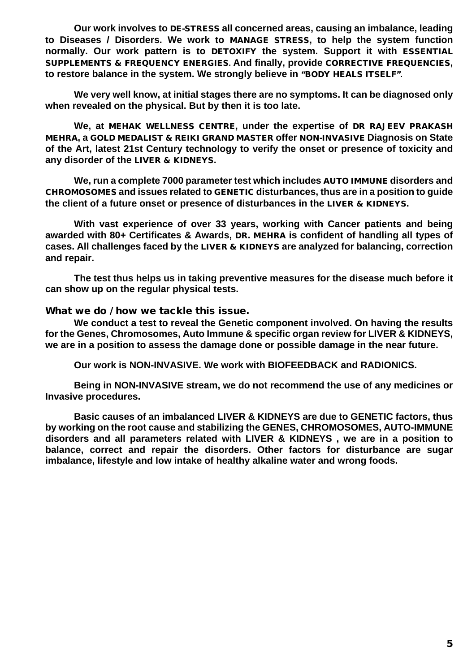**Our work involves to** DE-STRESS **all concerned areas, causing an imbalance, leading to Diseases / Disorders. We work to** MANAGE STRESS**, to help the system function normally. Our work pattern is to** DETOXIFY **the system. Support it with** ESSENTIAL SUPPLEMENTS & FREQUENCY ENERGIES**. And finally, provide** CORRECTIVE FREQUENCIES**, to restore balance in the system. We strongly believe in** "BODY HEALS ITSELF"**.**

**We very well know, at initial stages there are no symptoms. It can be diagnosed only when revealed on the physical. But by then it is too late.** 

**We, at** MEHAK WELLNESS CENTRE**, under the expertise of** DR RAJEEV PRAKASH MEHRA**, a** GOLD MEDALIST & REIKI GRAND MASTER **offer** NON-INVASIVE **Diagnosis on State of the Art, latest 21st Century technology to verify the onset or presence of toxicity and any disorder of the** LIVER & KIDNEYS**.** 

**We, run a complete 7000 parameter test which includes** AUTO IMMUNE **disorders and**  CHROMOSOMES **and issues related to** GENETIC **disturbances, thus are in a position to guide the client of a future onset or presence of disturbances in the** LIVER & KIDNEYS**.** 

**With vast experience of over 33 years, working with Cancer patients and being awarded with 80+ Certificates & Awards,** DR. MEHRA **is confident of handling all types of cases. All challenges faced by the** LIVER & KIDNEYS **are analyzed for balancing, correction and repair.**

**The test thus helps us in taking preventive measures for the disease much before it can show up on the regular physical tests.** 

What we do / how we tackle this issue.

**We conduct a test to reveal the Genetic component involved. On having the results for the Genes, Chromosomes, Auto Immune & specific organ review for LIVER & KIDNEYS, we are in a position to assess the damage done or possible damage in the near future.** 

**Our work is NON-INVASIVE. We work with BIOFEEDBACK and RADIONICS.**

**Being in NON-INVASIVE stream, we do not recommend the use of any medicines or Invasive procedures.** 

**Basic causes of an imbalanced LIVER & KIDNEYS are due to GENETIC factors, thus by working on the root cause and stabilizing the GENES, CHROMOSOMES, AUTO-IMMUNE disorders and all parameters related with LIVER & KIDNEYS , we are in a position to balance, correct and repair the disorders. Other factors for disturbance are sugar imbalance, lifestyle and low intake of healthy alkaline water and wrong foods.**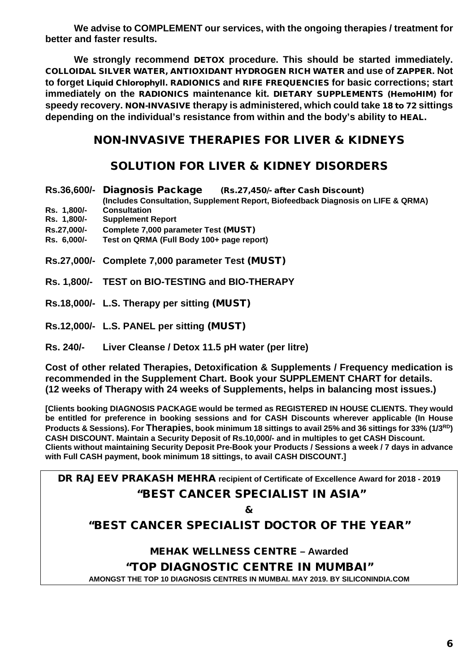**We advise to COMPLEMENT our services, with the ongoing therapies / treatment for better and faster results.**

**We strongly recommend** DETOX **procedure. This should be started immediately.**  COLLOIDAL SILVER WATER, ANTIOXIDANT HYDROGEN RICH WATER **and use of** ZAPPER**. Not to forget** Liquid Chlorophyll. RADIONICS **and** RIFE FREQUENCIES **for basic corrections; start immediately on the** RADIONICS **maintenance kit.** DIETARY SUPPLEMENTS (HemoHIM) **for speedy recovery.** NON-INVASIVE **therapy is administered, which could take** 18 to 72 **sittings depending on the individual's resistance from within and the body's ability to** HEAL.

# NON-INVASIVE THERAPIES FOR LIVER & KIDNEYS

# SOLUTION FOR LIVER & KIDNEY DISORDERS

| Rs. 1,800/-                | Rs.36,600/- Diagnosis Package<br>(Rs.27,450/- after Cash Discount)<br>(Includes Consultation, Supplement Report, Biofeedback Diagnosis on LIFE & QRMA) |
|----------------------------|--------------------------------------------------------------------------------------------------------------------------------------------------------|
|                            | <b>Consultation</b>                                                                                                                                    |
| Rs. 1,800/-                | <b>Supplement Report</b>                                                                                                                               |
| Rs.27,000/-<br>Rs. 6,000/- | Complete 7,000 parameter Test (MUST)<br>Test on QRMA (Full Body 100+ page report)                                                                      |
|                            |                                                                                                                                                        |

- **Rs. 1,800/- TEST on BIO-TESTING and BIO-THERAPY**
- **Rs.18,000/- L.S. Therapy per sitting** (MUST)
- **Rs.12,000/- L.S. PANEL per sitting** (MUST)
- **Rs. 240/- Liver Cleanse / Detox 11.5 pH water (per litre)**

**Cost of other related Therapies, Detoxification & Supplements / Frequency medication is recommended in the Supplement Chart. Book your SUPPLEMENT CHART for details. (12 weeks of Therapy with 24 weeks of Supplements, helps in balancing most issues.)**

**[Clients booking DIAGNOSIS PACKAGE would be termed as REGISTERED IN HOUSE CLIENTS. They would be entitled for preference in booking sessions and for CASH Discounts wherever applicable (In House Products & Sessions). For Therapies, book minimum 18 sittings to avail 25% and 36 sittings for 33% (1/3RD) CASH DISCOUNT. Maintain a Security Deposit of Rs.10,000/- and in multiples to get CASH Discount. Clients without maintaining Security Deposit Pre-Book your Products / Sessions a week / 7 days in advance with Full CASH payment, book minimum 18 sittings, to avail CASH DISCOUNT.]**

DR RAJEEV PRAKASH MEHRA **recipient of Certificate of Excellence Award for 2018 - 2019** "BEST CANCER SPECIALIST IN ASIA"

&

"BEST CANCER SPECIALIST DOCTOR OF THE YEAR"

MEHAK WELLNESS CENTRE **– Awarded**

"TOP DIAGNOSTIC CENTRE IN MUMBAI"

**AMONGST THE TOP 10 DIAGNOSIS CENTRES IN MUMBAI. MAY 2019. BY SILICONINDIA.COM**